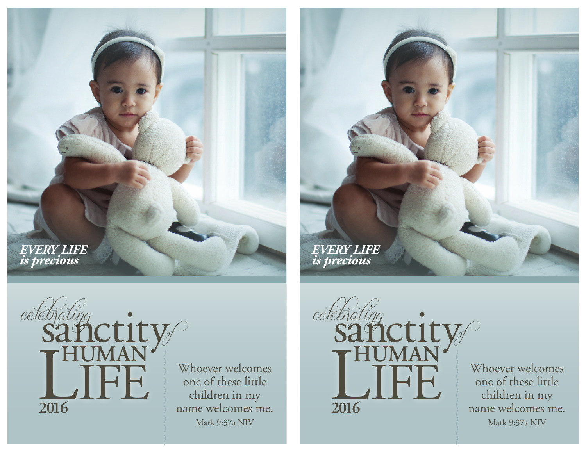*every life is precious*





Whoever welcomes one of these little children in my name welcomes me. Mark 9:37a NIV



Whoever welcomes one of these little children in my name welcomes me. Mark 9:37a NIV